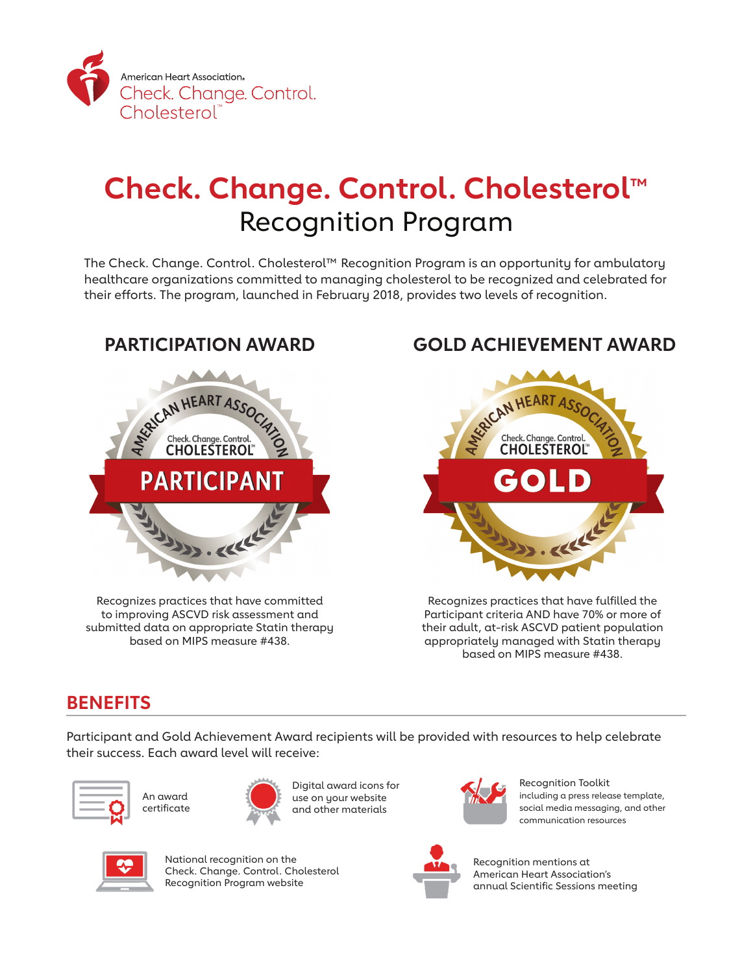

# **Check. Change. Control. Cholesterol™** Recognition Program

The Check. Change. Control. Cholesterol™ Recognition Program is an opportunity for ambulatory healthcare organizations committed to managing cholesterol to be recognized and celebrated for their efforts. The program, launched in February 2018, provides two levels of recognition.



Recognizes practices that have committed to improving ASCVD risk assessment and submitted data on appropriate Statin therapy based on MIPS measure #438.

## **PARTICIPATION AWARD GOLD ACHIEVEMENT AWARD**



Recognizes practices that have fulfilled the Participant criteria AND have 70% or more of their adult, at-risk ASCVD patient population appropriately managed with Statin therapy based on MIPS measure #438.

# **BENEFITS**

Participant and Gold Achievement Award recipients will be provided with resources to help celebrate their success. Each award level will receive:





Digital award icons for use on your website and other materials



Recognition Toolkit including a press release template, social media messaging, and other communication resources



National recognition on the Check. Change. Control. Cholesterol Recognition Program website



Recognition mentions at American Heart Association's annual Scientific Sessions meeting